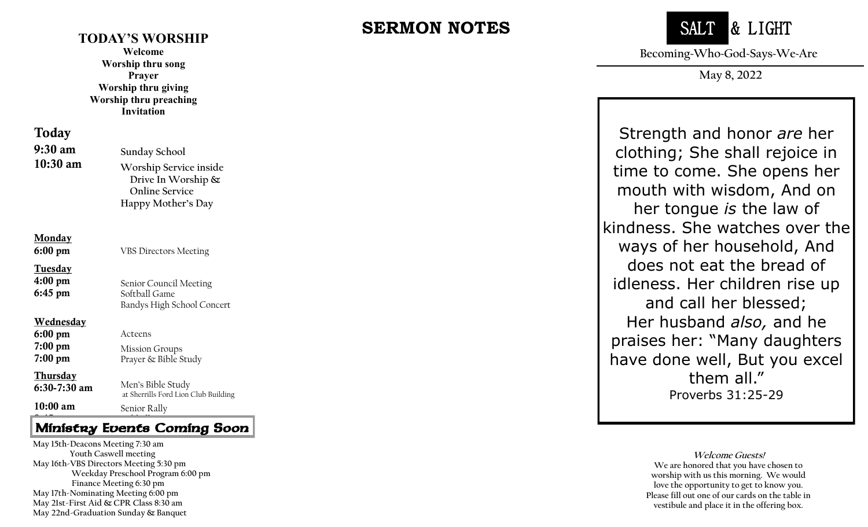#### **TODAY'S WORSHIP**

**Welcome Worship thru song Prayer Worship thru giving Worship thru preaching Invitation**

#### Today

| 9:30 am<br>$10:30 \text{ am}$                                   | Sunday School<br>Worship Service inside<br>Drive In Worship $\&$<br><b>Online Service</b><br>Happy Mother's Day |
|-----------------------------------------------------------------|-----------------------------------------------------------------------------------------------------------------|
| <u>Monday</u><br>6:00 pm                                        | <b>VBS Directors Meeting</b>                                                                                    |
| <b>Tuesday</b><br>$4:00 \text{ pm}$<br>$6:45$ pm                | Senior Council Meeting<br>Softball Game<br><b>Bandys High School Concert</b>                                    |
| Wednesday<br>$6:00$ pm<br>$7:00 \text{ pm}$<br>$7:00~\text{pm}$ | Acteens<br>Mission Groups<br>Prayer & Bible Study                                                               |
| <b>Thursday</b><br>$6:30-7:30$ am<br>$10:00$ am                 | Men's Bible Study<br>at Sherrills Ford Lion Club Building<br>Senior Rally                                       |

# **Ministry Events Coming Soon**

 **May 16th -VBS Directors Meeting 5:30 pm May 15th -Deacons Meeting 7:30 am Youth Caswell meeting Weekday Preschool Program 6:00 pm Finance Meeting 6:30 pm May 17th -Nominating Meeting 6:00 pm May 21st -First Aid & CPR Class 8:30 am May 22nd -Graduation Sunday & Banquet**

# **SERMON NOTES**



**Becoming~Who~God~Says~We~Are**

**May 8, 2022**

Strength and honor *are* her clothing; She shall rejoice in time to come. She opens her mouth with wisdom, And on her tongue *is* the law of kindness. She watches over the ways of her household, And does not eat the bread of idleness. Her children rise up and call her blessed; Her husband *also,* and he praises her: "Many daughters have done well, But you excel them all." Proverbs 31:25 -29

> **Welcome Guests! We are honored that you have chosen to worship with us this morning. We would love the opportunity to get to know you. Please fill out one of our cards on the table in vestibule and place it in the offering box.**